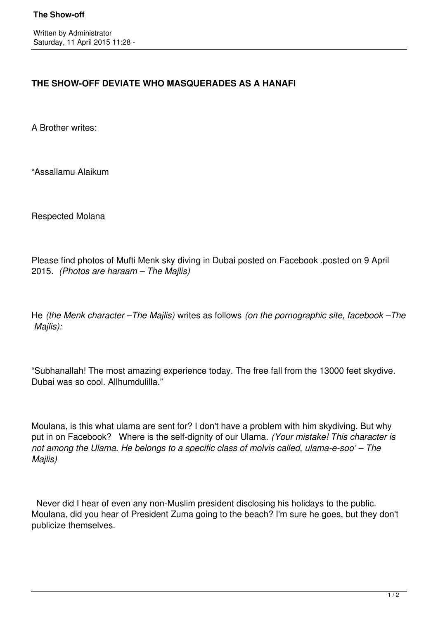## **THE SHOW-OFF DEVIATE WHO MASQUERADES AS A HANAFI**

A Brother writes:

"Assallamu Alaikum

Respected Molana

Please find photos of Mufti Menk sky diving in Dubai posted on Facebook .posted on 9 April 2015. *(Photos are haraam – The Majlis)*

He *(the Menk character –The Majlis)* writes as follows *(on the pornographic site, facebook –The Majlis):*

"Subhanallah! The most amazing experience today. The free fall from the 13000 feet skydive. Dubai was so cool. Allhumdulilla."

Moulana, is this what ulama are sent for? I don't have a problem with him skydiving. But why put in on Facebook? Where is the self-dignity of our Ulama. *(Your mistake! This character is not among the Ulama. He belongs to a specific class of molvis called, ulama-e-soo' – The Majlis)*

 Never did I hear of even any non-Muslim president disclosing his holidays to the public. Moulana, did you hear of President Zuma going to the beach? I'm sure he goes, but they don't publicize themselves.